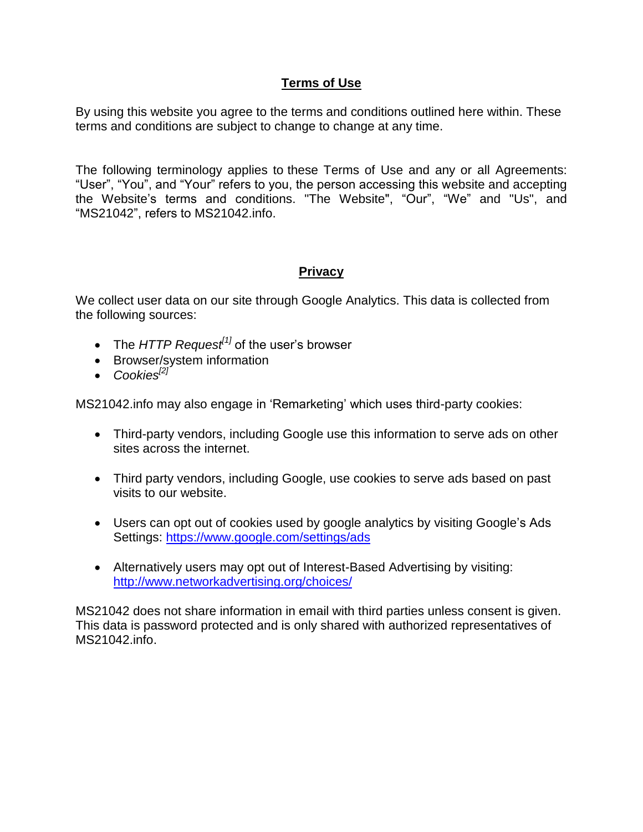## **Terms of Use**

By using this website you agree to the terms and conditions outlined here within. These terms and conditions are subject to change to change at any time.

The following terminology applies to these Terms of Use and any or all Agreements: "User", "You", and "Your" refers to you, the person accessing this website and accepting the Website's terms and conditions. "The Website", "Our", "We" and "Us", and "MS21042", refers to MS21042.info.

# **Privacy**

We collect user data on our site through Google Analytics. This data is collected from the following sources:

- The *HTTP Request<sup>[1]</sup>* of the user's browser
- Browser/system information
- *Cookies[2]*

MS21042.info may also engage in 'Remarketing' which uses third-party cookies:

- Third-party vendors, including Google use this information to serve ads on other sites across the internet.
- Third party vendors, including Google, use cookies to serve ads based on past visits to our website.
- Users can opt out of cookies used by google analytics by visiting Google's Ads Settings:<https://www.google.com/settings/ads>
- Alternatively users may opt out of Interest-Based Advertising by visiting: <http://www.networkadvertising.org/choices/>

MS21042 does not share information in email with third parties unless consent is given. This data is password protected and is only shared with authorized representatives of MS21042.info.